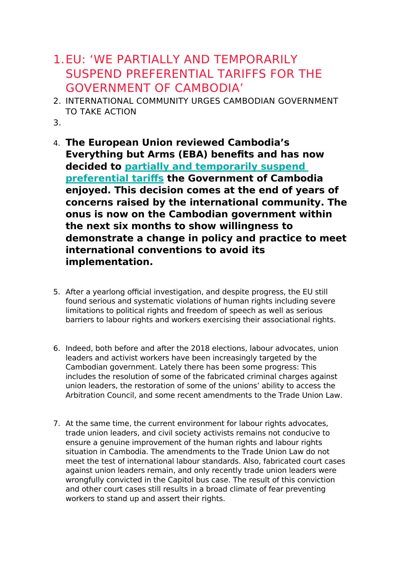## 1.EU: 'WE PARTIALLY AND TEMPORARILY SUSPEND PREFERENTIAL TARIFFS FOR THE GOVERNMENT OF CAMBODIA'

- 2. INTERNATIONAL COMMUNITY URGES CAMBODIAN GOVERNMENT TO TAKE ACTION
- 3.
- 4. **The European Union reviewed Cambodia's Everything but Arms (EBA) benefits and has now decided to [partially and temporarily suspend](https://trade.ec.europa.eu/doclib/press/index.cfm?id=2113&title=Commission-decides-to-partially-withdraw-Cambodias-preferential-access-to-the-EU-market)  [preferential tariffs](https://trade.ec.europa.eu/doclib/press/index.cfm?id=2113&title=Commission-decides-to-partially-withdraw-Cambodias-preferential-access-to-the-EU-market) the Government of Cambodia enjoyed. This decision comes at the end of years of concerns raised by the international community. The onus is now on the Cambodian government within the next six months to show willingness to demonstrate a change in policy and practice to meet international conventions to avoid its implementation.**
- 5. After a yearlong official investigation, and despite progress, the EU still found serious and systematic violations of human rights including severe limitations to political rights and freedom of speech as well as serious barriers to labour rights and workers exercising their associational rights.
- 6. Indeed, both before and after the 2018 elections, labour advocates, union leaders and activist workers have been increasingly targeted by the Cambodian government. Lately there has been some progress: This includes the resolution of some of the fabricated criminal charges against union leaders, the restoration of some of the unions' ability to access the Arbitration Council, and some recent amendments to the Trade Union Law.
- 7. At the same time, the current environment for labour rights advocates, trade union leaders, and civil society activists remains not conducive to ensure a genuine improvement of the human rights and labour rights situation in Cambodia. The amendments to the Trade Union Law do not meet the test of international labour standards. Also, fabricated court cases against union leaders remain, and only recently trade union leaders were wrongfully convicted in the Capitol bus case. The result of this conviction and other court cases still results in a broad climate of fear preventing workers to stand up and assert their rights.